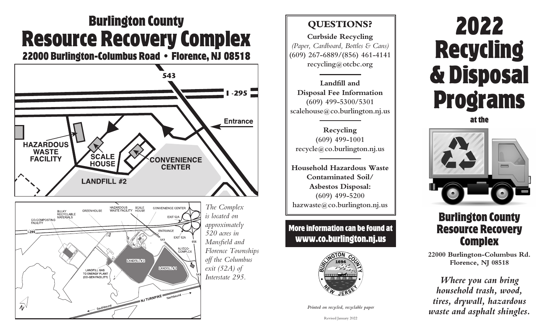## Burlington County Resource Recovery Complex

22000 Burlington-Columbus Road • Florence, NJ 08518



### **QUESTIONS?**

**Curbside Recycling**  *(Paper, Cardboard, Bottles & Cans)* **(609) 267-6889/(856) 461-4141 recycling@otcbc.org**

**Landfill and Disposal Fee Information (609) 499-5300/5301 scalehouse@co.burlington.nj.us**

**Recycling (609) 499-1001 recycle@co.burlington.nj.us**

**Household Hazardous Waste Contaminated Soil/ Asbestos Disposal: (609) 499-5200 hazwaste@co.burlington.nj.us**

More information can be found at www.co.burlington.nj.us



*Printed on recycled, recyclable paper*

# 2022 Recycling & Disposal Programs

at the



### Burlington County Resource Recovery **Complex**

**22000 Burlington-Columbus Rd. Florence, NJ 08518**

*Where you can bring household trash, wood, tires, drywall, hazardous waste and asphalt shingles.*